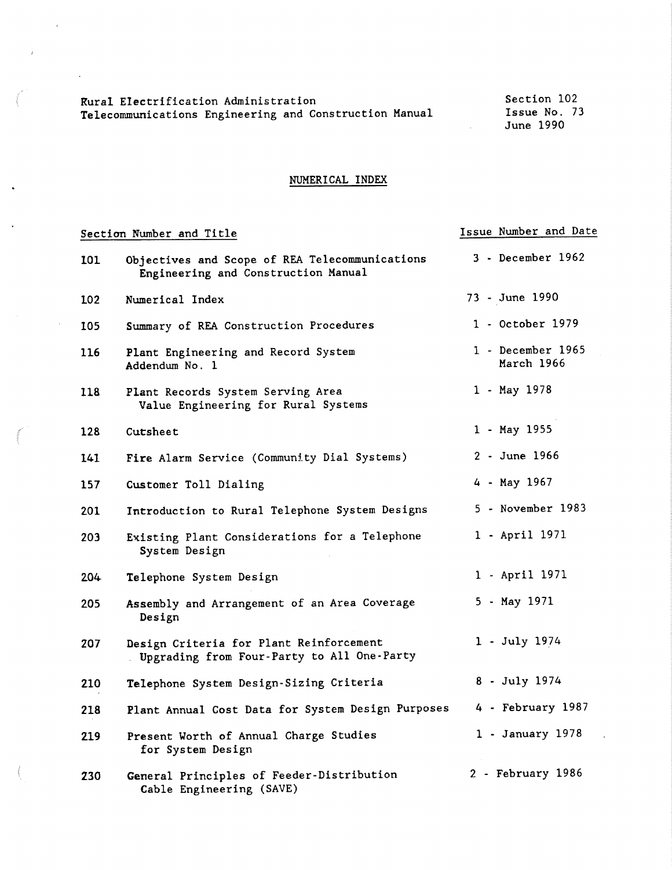Rural Electrification Administration Telecommunications Engineering and Construction Manual

Section 102 Issue No. 73 June 1990

Issue Number and Date

#### NUMERICAL INDEX

#### Section Number and Title

 $\mathcal{L}^{\pm}$ 

 $\mathbf{z}$ 

 $\ddot{\phantom{a}}$ 

| 101 | Objectives and Scope of REA Telecommunications<br>Engineering and Construction Manual | 3 - December 1962               |
|-----|---------------------------------------------------------------------------------------|---------------------------------|
| 102 | Numerical Index                                                                       | 73 - June 1990                  |
| 105 | Summary of REA Construction Procedures                                                | 1 - October 1979                |
| 116 | Plant Engineering and Record System<br>Addendum No. 1                                 | 1 - December 1965<br>March 1966 |
| 118 | Plant Records System Serving Area<br>Value Engineering for Rural Systems              | 1 - May 1978                    |
| 128 | Cutsheet                                                                              | 1 - May 1955                    |
| 141 | Fire Alarm Service (Community Dial Systems)                                           | 2 - June 1966                   |
| 157 | Customer Toll Dialing                                                                 | 4 - May 1967                    |
| 201 | Introduction to Rural Telephone System Designs                                        | 5 - November 1983               |
| 203 | Existing Plant Considerations for a Telephone<br>System Design                        | 1 - April 1971                  |
| 204 | Telephone System Design                                                               | 1 - April 1971                  |
| 205 | Assembly and Arrangement of an Area Coverage<br>Design                                | 5 - May 1971                    |
| 207 | Design Criteria for Plant Reinforcement<br>Upgrading from Four-Party to All One-Party | 1 - July 1974                   |
| 210 | Telephone System Design-Sizing Criteria                                               | 8 - July 1974                   |
| 218 | Plant Annual Cost Data for System Design Purposes                                     | 4 - February 1987               |
| 219 | Present Worth of Annual Charge Studies<br>for System Design                           | $1 - January 1978$              |
| 230 | General Principles of Feeder-Distribution<br>Cable Engineering (SAVE)                 | 2 - February 1986               |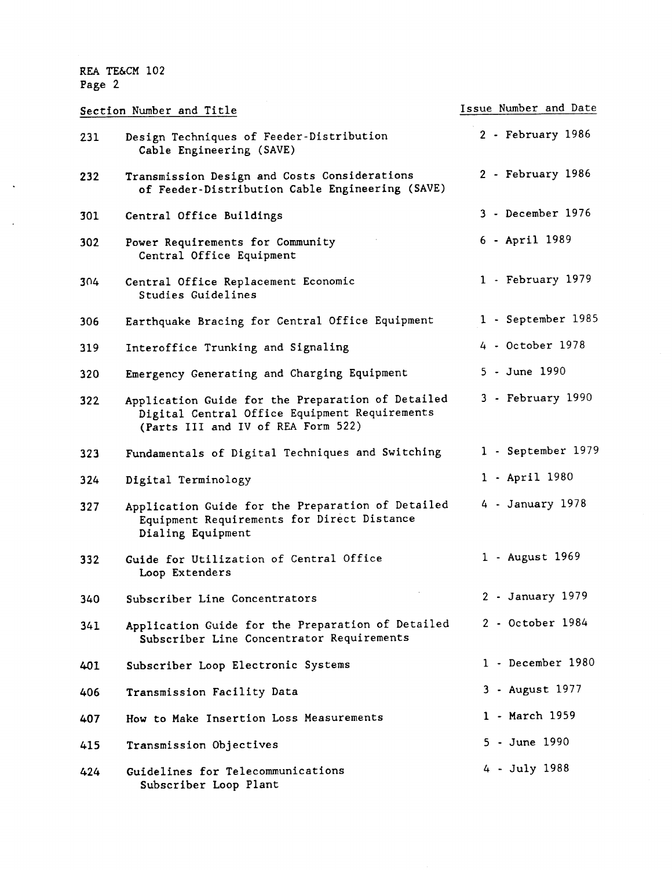$\hat{\mathbf{v}}$ 

 $\ddot{\phantom{a}}$ 

|     | Section Number and Title                                                                                                                 | Issue Number and Date |
|-----|------------------------------------------------------------------------------------------------------------------------------------------|-----------------------|
| 231 | Design Techniques of Feeder-Distribution<br>Cable Engineering (SAVE)                                                                     | 2 - February 1986     |
| 232 | Transmission Design and Costs Considerations<br>of Feeder-Distribution Cable Engineering (SAVE)                                          | 2 - February 1986     |
| 301 | Central Office Buildings                                                                                                                 | 3 - December 1976     |
| 302 | Power Requirements for Community<br>Central Office Equipment                                                                             | 6 - April 1989        |
| 304 | Central Office Replacement Economic<br>Studies Guidelines                                                                                | 1 - February 1979     |
| 306 | Earthquake Bracing for Central Office Equipment                                                                                          | 1 - September 1985    |
| 319 | Interoffice Trunking and Signaling                                                                                                       | 4 - October 1978      |
| 320 | Emergency Generating and Charging Equipment                                                                                              | 5 - June 1990         |
| 322 | Application Guide for the Preparation of Detailed<br>Digital Central Office Equipment Requirements<br>(Parts III and IV of REA Form 522) | 3 - February 1990     |
| 323 | Fundamentals of Digital Techniques and Switching                                                                                         | 1 - September 1979    |
| 324 | Digital Terminology                                                                                                                      | 1 - April 1980        |
| 327 | Application Guide for the Preparation of Detailed<br>Equipment Requirements for Direct Distance<br>Dialing Equipment                     | 4 - January 1978      |
| 332 | Guide for Utilization of Central Office<br>Loop Extenders                                                                                | 1 - August 1969       |
| 340 | Subscriber Line Concentrators                                                                                                            | 2 - January 1979      |
| 341 | Application Guide for the Preparation of Detailed<br>Subscriber Line Concentrator Requirements                                           | 2 - October 1984      |
| 401 | Subscriber Loop Electronic Systems                                                                                                       | 1 - December 1980     |
| 406 | Transmission Facility Data                                                                                                               | 3 - August 1977       |
| 407 | How to Make Insertion Loss Measurements                                                                                                  | 1 - March 1959        |
| 415 | Transmission Objectives                                                                                                                  | 5 - June 1990         |
| 424 | Guidelines for Telecommunications<br>Subscriber Loop Plant                                                                               | 4 - July 1988         |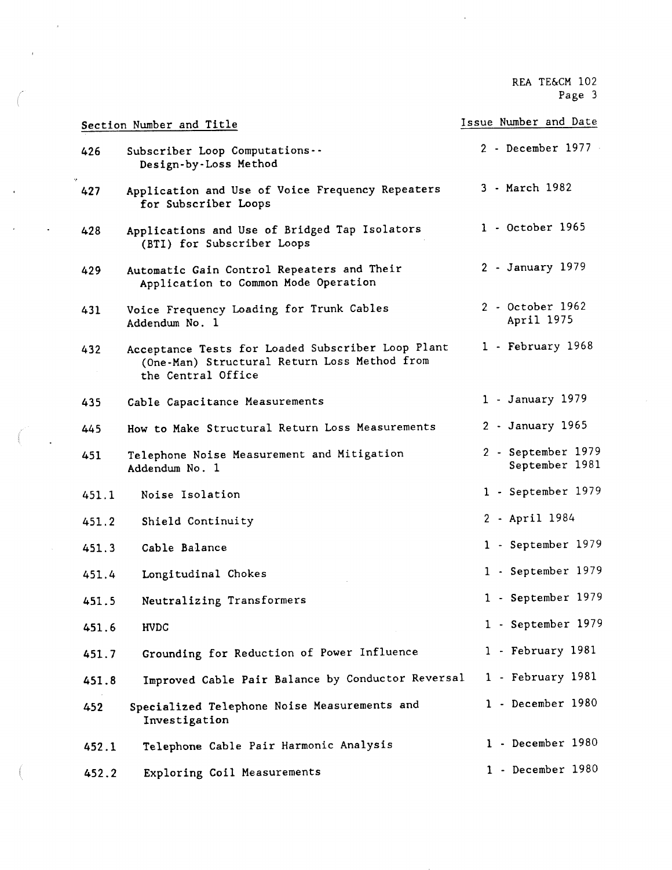$\bar{\mathcal{A}}$ 

|       | Section Number and Title                                                                                                | Issue Number and Date                |
|-------|-------------------------------------------------------------------------------------------------------------------------|--------------------------------------|
| 426   | Subscriber Loop Computations --<br>Design-by-Loss Method                                                                | 2 - December 1977                    |
| 427   | Application and Use of Voice Frequency Repeaters<br>for Subscriber Loops                                                | 3 - March 1982                       |
| 428   | Applications and Use of Bridged Tap Isolators<br>(BTI) for Subscriber Loops                                             | 1 - October 1965                     |
| 429   | Automatic Gain Control Repeaters and Their<br>Application to Common Mode Operation                                      | 2 - January 1979                     |
| 431   | Voice Frequency Loading for Trunk Cables<br>Addendum No. 1                                                              | 2 - October 1962<br>April 1975       |
| 432   | Acceptance Tests for Loaded Subscriber Loop Plant<br>(One-Man) Structural Return Loss Method from<br>the Central Office | 1 - February 1968                    |
| 435   | Cable Capacitance Measurements                                                                                          | 1 - January 1979                     |
| 445   | How to Make Structural Return Loss Measurements                                                                         | 2 - January 1965                     |
| 451   | Telephone Noise Measurement and Mitigation<br>Addendum No. 1                                                            | 2 - September 1979<br>September 1981 |
| 451.1 | Noise Isolation                                                                                                         | 1 - September 1979                   |
| 451.2 | Shield Continuity                                                                                                       | 2 - April 1984                       |
| 451.3 | Cable Balance                                                                                                           | 1 - September 1979                   |
| 451.4 | Longitudinal Chokes                                                                                                     | 1 - September 1979                   |
| 451.5 | Neutralizing Transformers                                                                                               | 1 - September 1979                   |
| 451.6 | HVDC                                                                                                                    | 1 - September 1979                   |
| 451.7 | Grounding for Reduction of Power Influence                                                                              | 1 - February 1981                    |
| 451.8 | Improved Cable Pair Balance by Conductor Reversal                                                                       | 1 - February 1981                    |
| 452   | Specialized Telephone Noise Measurements and<br>Investigation                                                           | 1 - December 1980                    |
| 452.1 | Telephone Cable Pair Harmonic Analysis                                                                                  | 1 - December 1980                    |
| 452.2 | Exploring Coil Measurements                                                                                             | 1 - December 1980                    |

 $\bar{s}$ 

 $\sim$ 

 $\epsilon$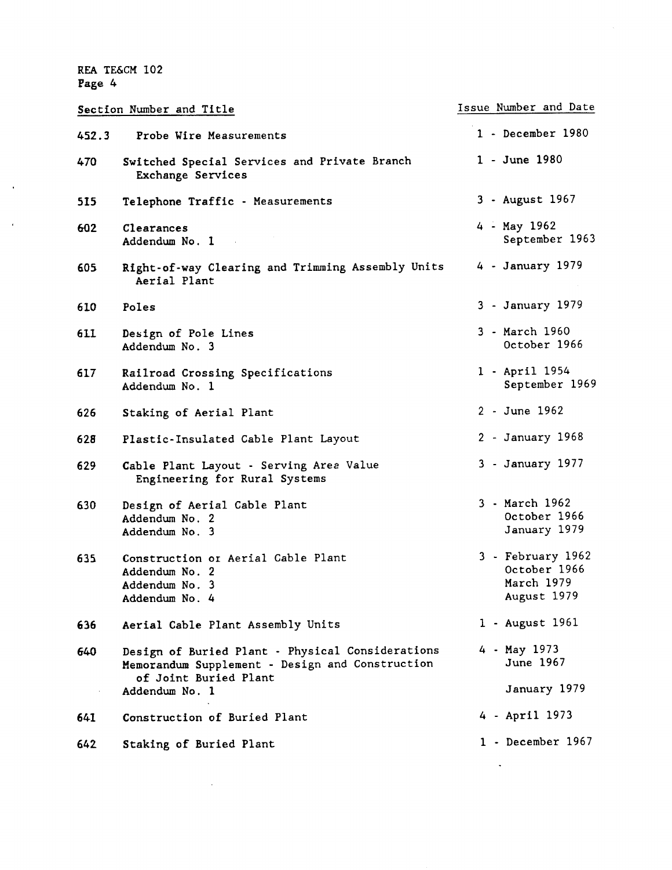Issue Number and Date Section Number and Title 1 - December 1980 452.3 Probe Wire Measurements 1 - June 1980 470 Switched Special Services and Private Branch Exchange Services 3 - August 1967 515 Telephone Traffic - Measurements 4 - May 1962 602 Clearances September 1963 Addendum No. 1 605 Right-of-way Clearing and Trimming Assembly Units 4 - January 1979 Aerial Plant 3 - January 1979 610 Poles 3 - March 1960 611 Design of Pole Lines October 1966 Addendum No. 3 617 Railroad Crossing Specifications 1 - April 1954 September 1969 Addendum No. 1 2 - June 1962 626 Staking of Aerial Plant 2 - January 1968 628 Plastic-Insulated Cable Plant Layout 3 - January 1977 629 Cable Plant Layout - Serving Aree Value Engineering for Rural Systems 3 - March 1962 630 Design of Aerial Cable Plant October 1966 Addendum No. 2 January 1979 Addendum No. 3 3 - February 1962 635 Construction or Aerial Cable Plant October 1966 Addendum No. 2 March 1979 Addendum No. 3 August 1979 Addendum No. 4 1 - August 1961 **636**  Aerial Cable Plant Assembly Units 4 - May 1973 Design of Buried Plant - Physical Considerations **640**  June 1967 Memorandum Supplement - Design and Construction of Joint Buried Plant January 1979 Addendum No. 1  $\mathcal{A}^{\mathcal{A}}$ 4 - April 1973 Construction of Buried Plant 641 1 - December 1967 642 **Staking** of Buried Plant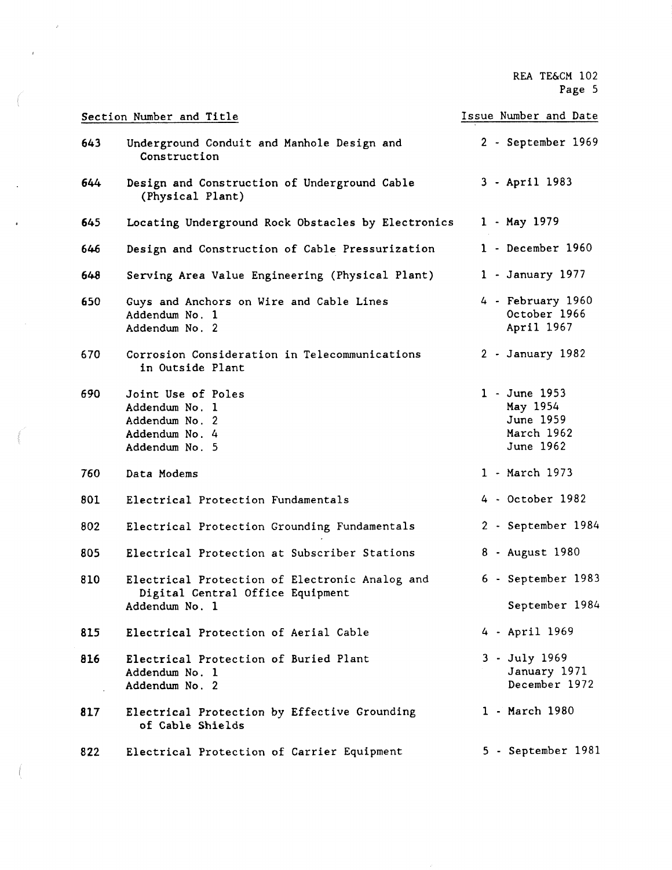|     | Section Number and Title                                                                             | Issue Number and Date                                             |  |  |  |  |
|-----|------------------------------------------------------------------------------------------------------|-------------------------------------------------------------------|--|--|--|--|
| 643 | Underground Conduit and Manhole Design and<br>Construction                                           | 2 - September 1969                                                |  |  |  |  |
| 644 | Design and Construction of Underground Cable<br>(Physical Plant)                                     | 3 - April 1983                                                    |  |  |  |  |
| 645 | Locating Underground Rock Obstacles by Electronics                                                   | 1 - May 1979                                                      |  |  |  |  |
| 646 | 1 - December 1960<br>Design and Construction of Cable Pressurization                                 |                                                                   |  |  |  |  |
| 648 | Serving Area Value Engineering (Physical Plant)                                                      | 1 - January 1977                                                  |  |  |  |  |
| 650 | Guys and Anchors on Wire and Cable Lines<br>Addendum No. 1<br>Addendum No. 2                         | 4 - February 1960<br>October 1966<br>April 1967                   |  |  |  |  |
| 670 | Corrosion Consideration in Telecommunications<br>in Outside Plant                                    | 2 - January 1982                                                  |  |  |  |  |
| 690 | Joint Use of Poles<br>Addendum No. 1<br>Addendum No. 2<br>Addendum No. 4<br>Addendum No. 5           | 1 - June 1953<br>May 1954<br>June 1959<br>March 1962<br>June 1962 |  |  |  |  |
| 760 | Data Modems                                                                                          | 1 - March 1973                                                    |  |  |  |  |
| 801 | Electrical Protection Fundamentals                                                                   | 4 - October 1982                                                  |  |  |  |  |
| 802 | Electrical Protection Grounding Fundamentals                                                         | 2 - September 1984                                                |  |  |  |  |
| 805 | Electrical Protection at Subscriber Stations                                                         | 8 - August 1980                                                   |  |  |  |  |
| 810 | Electrical Protection of Electronic Analog and<br>Digital Central Office Equipment<br>Addendum No. 1 | 6 - September 1983<br>September 1984                              |  |  |  |  |
| 815 | Electrical Protection of Aerial Cable                                                                | 4 - April 1969                                                    |  |  |  |  |
| 816 | Electrical Protection of Buried Plant<br>Addendum No. 1<br>Addendum No. 2                            | 3 - July 1969<br>January 1971<br>December 1972                    |  |  |  |  |
| 817 | Electrical Protection by Effective Grounding<br>of Cable Shields                                     | 1 - March 1980                                                    |  |  |  |  |
| 822 | Electrical Protection of Carrier Equipment                                                           | 5 - September 1981                                                |  |  |  |  |

 $\bar{\bar{z}}$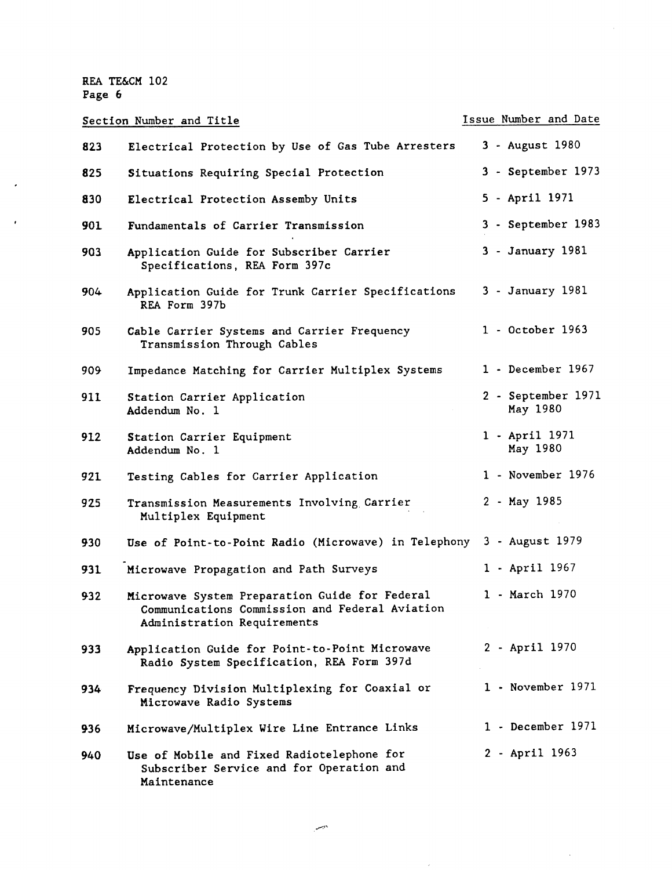Section Number and Title **Issue Number and Date** 823 **825**  830 901 903 904- 905 909- 911 912 921 925 930 931 **932 933 934 936 940**  Electrical Protection by Use of Gas Tube Arresters Situations Requiring Special Protection Electrical Protection Assemby Units Fundamentals of Carrier Transmission Application Guide for Subscriber Carrier Specifications, REA Form 397c Application Guide for Trunk Carrier Specifications REA Form 397b Cable Carrier Systems and Carrier Frequency Transmission Through Cables Impedance Matching for Carrier Multiplex Systems Station Carrier Application Addendum No. 1 Station Carrier Equipment Addendum No. 1 Testing Cables for Carrier Application Transmission Measurements Involving Carrier Multiplex Equipment Use of Point-to-Point Radio (Microwave) in Telephony 3 - August 1979 Microwave Propagation and Path Surveys Microwave System Preparation Guide for Federal Communications Commission and Federal Aviation Administration Requirements Application Guide for Point-to-Point Microwave Radio System Specification, REA Form 397d Frequency Division Multiplexing for Coaxial or Microwave Radio Systems Microwave/Multiplex Wire Line Entrance Links Use of Mobile and Fixed Radiotelephone for Subscriber Service and for Operation and 3 - August 1980 3 - September 1973 5 - April 1971 3 - September 1983 3 - January 1981 3 - January 1981 1 - October 1963 1 - December 1967 2 - September 1971 May 1980 1 - April 1971 May 1980 1 - November 1976 2 - May 1985 1 - April 1967 1 - March 1970 2 - April 1970 1 - November 1971 1 - December 1971 2 - April 1963

الصبر

Maintenance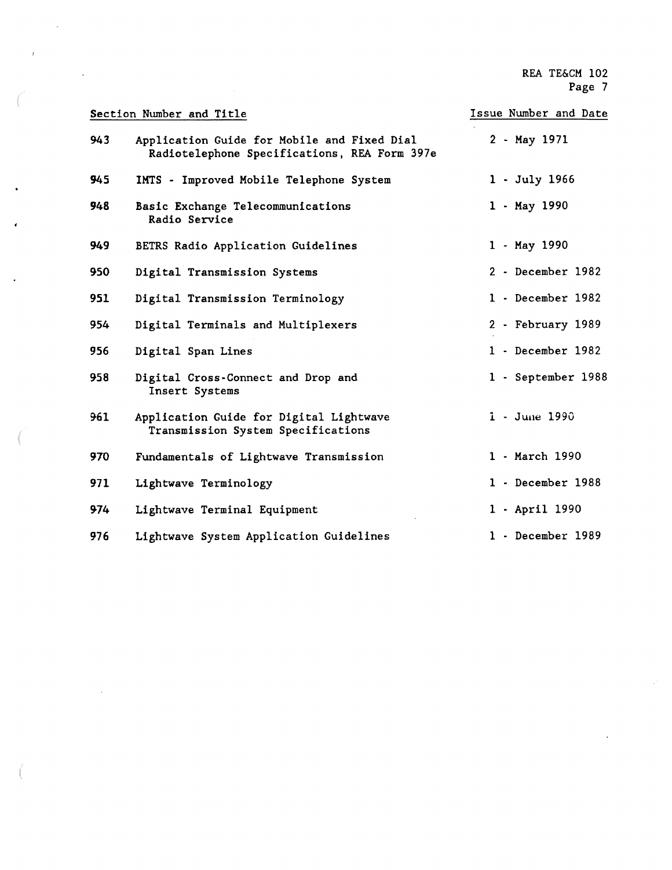$\overline{a}$ 

|     | Section Number and Title                                                                    | Issue Number and Date |
|-----|---------------------------------------------------------------------------------------------|-----------------------|
| 943 | Application Guide for Mobile and Fixed Dial<br>Radiotelephone Specifications, REA Form 397e | 2 - May 1971          |
| 945 | IMTS - Improved Mobile Telephone System                                                     | $1 - July 1966$       |
| 948 | Basic Exchange Telecommunications<br>Radio Service                                          | $1 - May 1990$        |
| 949 | BETRS Radio Application Guidelines                                                          | 1 - May 1990          |
| 950 | Digital Transmission Systems                                                                | 2 - December 1982     |
| 951 | Digital Transmission Terminology                                                            | 1 - December 1982     |
| 954 | Digital Terminals and Multiplexers                                                          | 2 - February 1989     |
| 956 | Digital Span Lines                                                                          | 1 - December 1982     |
| 958 | Digital Cross-Connect and Drop and<br>Insert Systems                                        | 1 - September 1988    |
| 961 | Application Guide for Digital Lightwave<br>Transmission System Specifications               | 1 - June 1990         |
| 970 | Fundamentals of Lightwave Transmission                                                      | 1 - March 1990        |
| 971 | Lightwave Terminology                                                                       | 1 - December 1988     |
| 974 | Lightwave Terminal Equipment                                                                | 1 - April 1990        |
| 976 | Lightwave System Application Guidelines                                                     | 1 - December 1989     |

 $\bar{L}$ 

 $\ddot{\phantom{a}}$ 

 $\ddot{r}$ 

 $\cdot$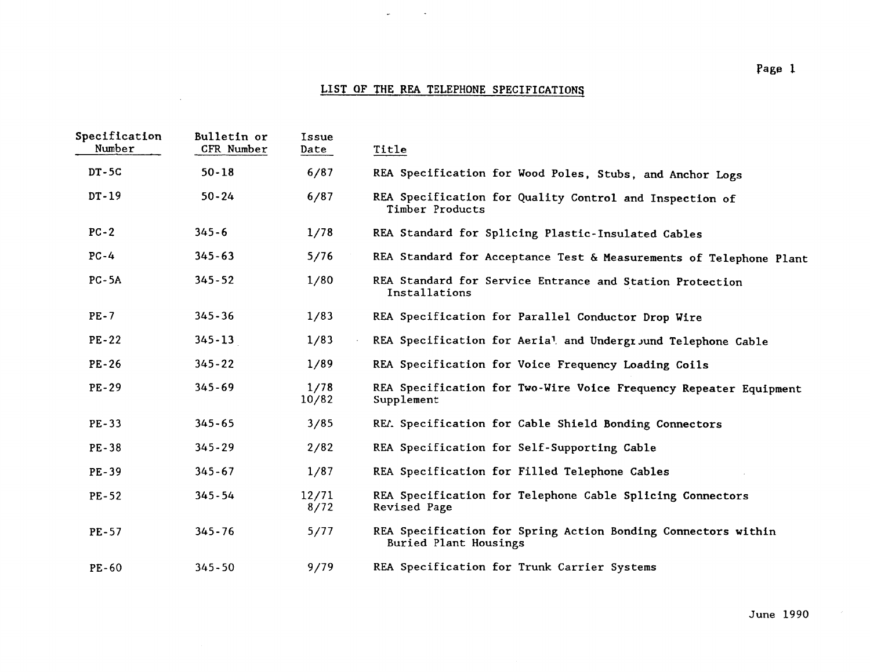## LIST OF THE REA TELEPHONE SPECIFICATIONS

 $\frac{1}{2} \frac{1}{2} \left( \frac{1}{2} \left( \frac{1}{2} \right) \right) \left( \frac{1}{2} \left( \frac{1}{2} \right) \right)$  , where

 $\mathcal{L}^{\text{max}}$  and  $\mathcal{L}^{\text{max}}$ 

| Specification<br>Number | Bulletin or<br>CFR Number | Issue<br>Date | Title                                                                                  |
|-------------------------|---------------------------|---------------|----------------------------------------------------------------------------------------|
| $DT-5C$                 | $50 - 18$                 | 6/87          | REA Specification for Wood Poles, Stubs, and Anchor Logs                               |
| $DT-19$                 | $50 - 24$                 | 6/87          | REA Specification for Quality Control and Inspection of<br>Timber Products             |
| $PC-2$                  | $345 - 6$                 | 1/78          | REA Standard for Splicing Plastic-Insulated Cables                                     |
| $PC-4$                  | $345 - 63$                | 5/76          | REA Standard for Acceptance Test & Measurements of Telephone Plant                     |
| $PC-5A$                 | $345 - 52$                | 1/80          | REA Standard for Service Entrance and Station Protection<br>Installations              |
| $PE-7$                  | $345 - 36$                | 1/83          | REA Specification for Parallel Conductor Drop Wire                                     |
| $PE-22$                 | $345 - 13$                | 1/83          | REA Specification for Aerial and Undergr Jund Telephone Cable                          |
| $PE-26$                 | $345 - 22$                | 1/89          | REA Specification for Voice Frequency Loading Coils                                    |
| $PE-29$                 | $345 - 69$                | 1/78<br>10/82 | REA Specification for Two-Wire Voice Frequency Repeater Equipment<br>Supplement        |
| $PE-33$                 | $345 - 65$                | 3/85          | REA Specification for Cable Shield Bonding Connectors                                  |
| <b>PE-38</b>            | $345 - 29$                | 2/82          | REA Specification for Self-Supporting Cable                                            |
| PE-39                   | $345 - 67$                | 1/87          | REA Specification for Filled Telephone Cables                                          |
| $PE-52$                 | $345 - 54$                | 12/71<br>8/72 | REA Specification for Telephone Cable Splicing Connectors<br>Revised Page              |
| <b>PE-57</b>            | $345 - 76$                | 5/77          | REA Specification for Spring Action Bonding Connectors within<br>Buried Plant Housings |
| PE-60                   | $345 - 50$                | 9/79          | REA Specification for Trunk Carrier Systems                                            |

June 1990

 $\mathcal{L}_{\mathcal{A}}$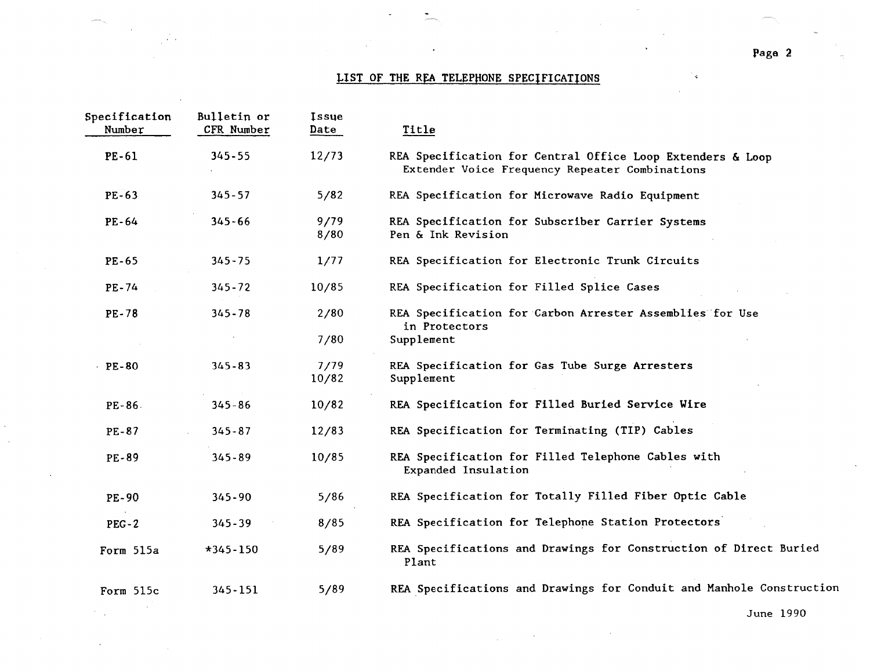## LIST OF THE REA TELEPHONE SPECIFICATIONS

 $\sim$   $\sim$ 

| Specification<br>Number | Bulletin or<br>CFR Number | <b>Issue</b><br>Date | Title                                                                                                        |
|-------------------------|---------------------------|----------------------|--------------------------------------------------------------------------------------------------------------|
| $PE-61$                 | $345 - 55$                | 12/73                | REA Specification for Central Office Loop Extenders & Loop<br>Extender Voice Frequency Repeater Combinations |
| $PE-63$                 | $345 - 57$                | 5/82                 | REA Specification for Microwave Radio Equipment                                                              |
| $PE-64$                 | $345 - 66$                | 9/79<br>8/80         | REA Specification for Subscriber Carrier Systems<br>Pen & Ink Revision                                       |
| $PE-65$                 | $345 - 75$                | 1/77                 | REA Specification for Electronic Trunk Circuits                                                              |
| PE-74                   | $345 - 72$                | 10/85                | REA Specification for Filled Splice Cases                                                                    |
| <b>PE-78</b>            | $345 - 78$                | 2/80                 | REA Specification for Carbon Arrester Assemblies for Use<br>in Protectors                                    |
|                         |                           | 7/80                 | Supplement                                                                                                   |
| $PE-80$                 | $345 - 83$                | 7/79<br>10/82        | REA Specification for Gas Tube Surge Arresters<br>Supplement                                                 |
| $PE-86$                 | $345 - 86$                | 10/82                | REA Specification for Filled Buried Service Wire                                                             |
| PE-87                   | $345 - 87$                | 12/83                | REA Specification for Terminating (TIP) Cables                                                               |
| PE-89                   | $345 - 89$                | 10/85                | REA Specification for Filled Telephone Cables with<br>Expanded Insulation                                    |
| $PE-90$                 | $345 - 90$                | 5/86                 | REA Specification for Totally Filled Fiber Optic Cable                                                       |
| $PEG-2$                 | $345 - 39$                | 8/85                 | REA Specification for Telephone Station Protectors                                                           |
| Form 515a               | $*345 - 150$              | 5/89                 | REA Specifications and Drawings for Construction of Direct Buried<br>Plant                                   |
| Form 515c               | $345 - 151$               | 5/89                 | REA Specifications and Drawings for Conduit and Manhole Constructi                                           |

 $\sim 10^{11}$  km

 $\mathcal{L}_{\rm{max}}$ 

 $\mathcal{L}$ 

June 1990